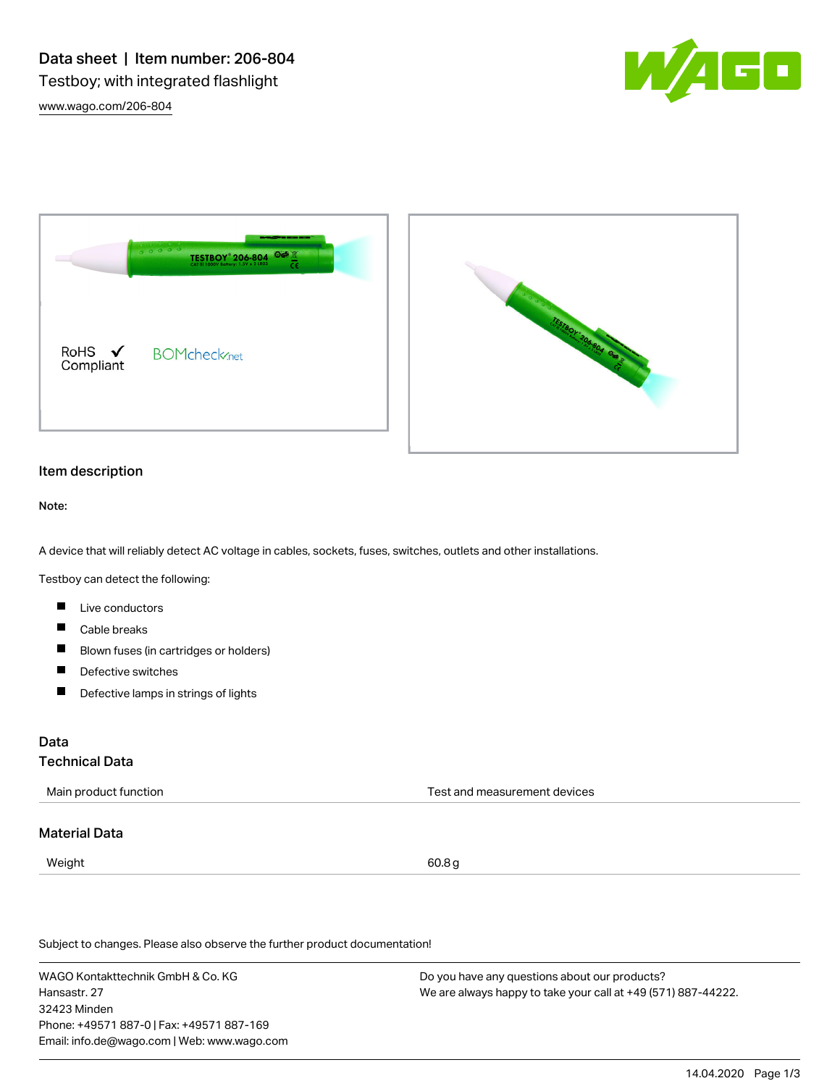



### Item description

Note:

A device that will reliably detect AC voltage in cables, sockets, fuses, switches, outlets and other installations.

Testboy can detect the following:

- **Live conductors**
- $\blacksquare$ Cable breaks
- П Blown fuses (in cartridges or holders)
- Defective switches  $\blacksquare$
- $\blacksquare$ Defective lamps in strings of lights

### Data

# Technical Data

| Main product function | Test and measurement devices |
|-----------------------|------------------------------|
|-----------------------|------------------------------|

### Material Data

 $Weight \hspace{2.5cm} 60.8 \, \text{g}$ 

Subject to changes. Please also observe the further product documentation!

WAGO Kontakttechnik GmbH & Co. KG Hansastr. 27 32423 Minden Phone: +49571 887-0 | Fax: +49571 887-169 Email: info.de@wago.com | Web: www.wago.com Do you have any questions about our products? We are always happy to take your call at +49 (571) 887-44222.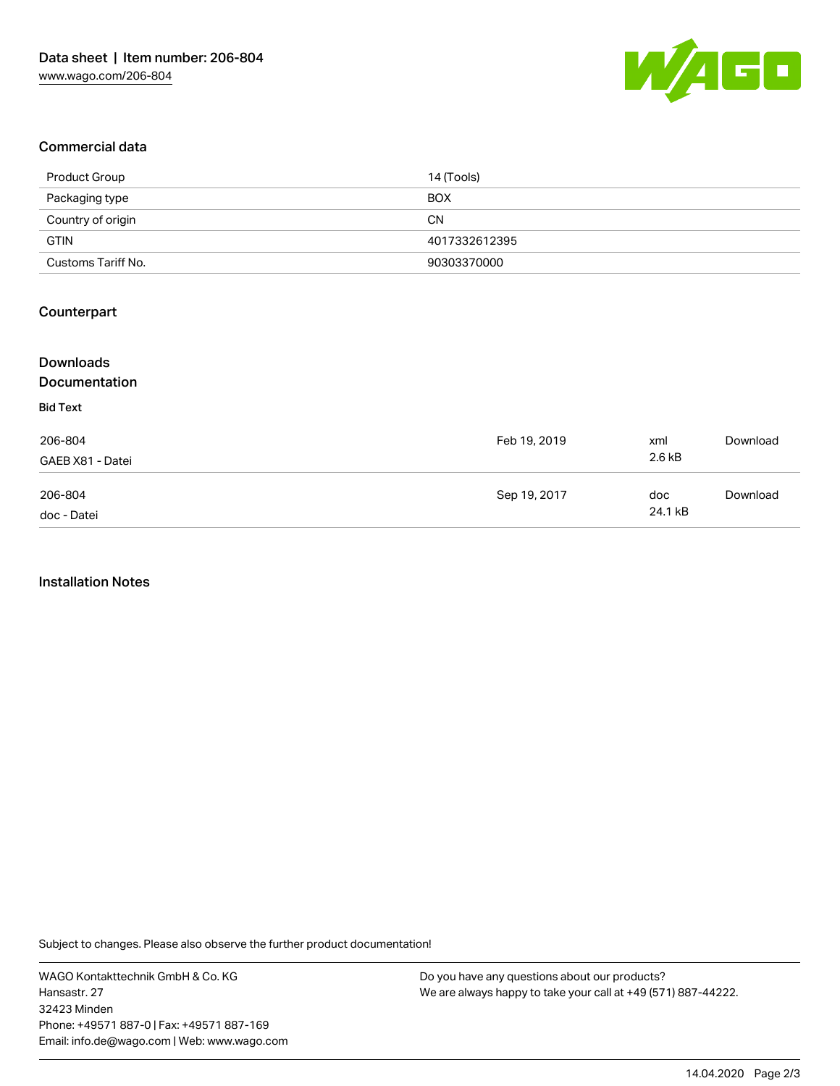

# Commercial data

| Product Group      | 14 (Tools)    |
|--------------------|---------------|
| Packaging type     | <b>BOX</b>    |
| Country of origin  | <b>CN</b>     |
| <b>GTIN</b>        | 4017332612395 |
| Customs Tariff No. | 90303370000   |

# Counterpart

| <b>Downloads</b> |              |         |          |
|------------------|--------------|---------|----------|
| Documentation    |              |         |          |
| <b>Bid Text</b>  |              |         |          |
| 206-804          | Feb 19, 2019 | xml     | Download |
| GAEB X81 - Datei |              | 2.6 kB  |          |
| 206-804          | Sep 19, 2017 | doc     | Download |
| doc - Datei      |              | 24.1 kB |          |

#### Installation Notes

Subject to changes. Please also observe the further product documentation!

WAGO Kontakttechnik GmbH & Co. KG Hansastr. 27 32423 Minden Phone: +49571 887-0 | Fax: +49571 887-169 Email: info.de@wago.com | Web: www.wago.com

Do you have any questions about our products? We are always happy to take your call at +49 (571) 887-44222.